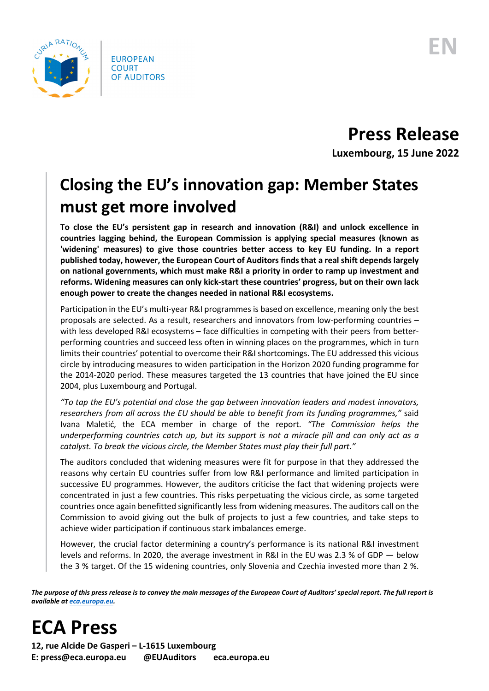

**Press Release**

**Luxembourg, 15 June 2022**

## **Closing the EU's innovation gap: Member States must get more involved**

**To close the EU's persistent gap in research and innovation (R&I) and unlock excellence in countries lagging behind, the European Commission is applying special measures (known as 'widening' measures) to give those countries better access to key EU funding. In a report published today, however, the European Court of Auditors finds that a real shift depends largely on national governments, which must make R&I a priority in order to ramp up investment and reforms. Widening measures can only kick-start these countries' progress, but on their own lack enough power to create the changes needed in national R&I ecosystems.** 

Participation in the EU's multi-year R&I programmes is based on excellence, meaning only the best proposals are selected. As a result, researchers and innovators from low-performing countries – with less developed R&I ecosystems – face difficulties in competing with their peers from betterperforming countries and succeed less often in winning places on the programmes, which in turn limits their countries' potential to overcome their R&I shortcomings. The EU addressed this vicious circle by introducing measures to widen participation in the Horizon 2020 funding programme for the 2014-2020 period. These measures targeted the 13 countries that have joined the EU since 2004, plus Luxembourg and Portugal.

*"To tap the EU's potential and close the gap between innovation leaders and modest innovators, researchers from all across the EU should be able to benefit from its funding programmes,"* said Ivana Maletić, the ECA member in charge of the report. *"The Commission helps the underperforming countries catch up, but its support is not a miracle pill and can only act as a catalyst. To break the vicious circle, the Member States must play their full part."*

The auditors concluded that widening measures were fit for purpose in that they addressed the reasons why certain EU countries suffer from low R&I performance and limited participation in successive EU programmes. However, the auditors criticise the fact that widening projects were concentrated in just a few countries. This risks perpetuating the vicious circle, as some targeted countries once again benefitted significantly less from widening measures. The auditors call on the Commission to avoid giving out the bulk of projects to just a few countries, and take steps to achieve wider participation if continuous stark imbalances emerge.

However, the crucial factor determining a country's performance is its national R&I investment levels and reforms. In 2020, the average investment in R&I in the EU was 2.3 % of GDP — below the 3 % target. Of the 15 widening countries, only Slovenia and Czechia invested more than 2 %.

*The purpose of this press release is to convey the main messages of the European Court of Auditors' special report. The full report is available a[t eca.europa.eu.](https://www.eca.europa.eu/)*

## **ECA Press**

**12, rue Alcide De Gasperi – L-1615 Luxembourg E: press@eca.europa.eu @EUAuditors eca.europa.eu**